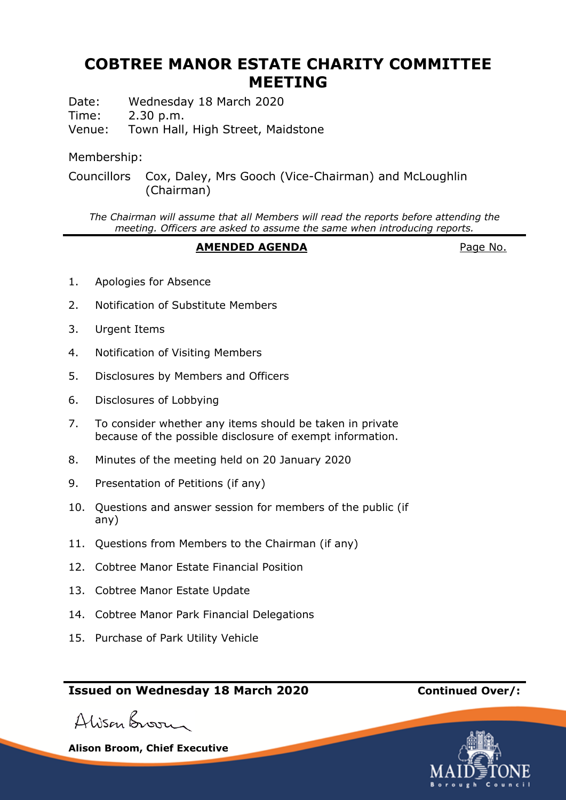# **COBTREE MANOR ESTATE CHARITY COMMITTEE MEETING**

Date: Wednesday 18 March 2020

Time: 2.30 p.m.

Venue: Town Hall, High Street, Maidstone

### Membership:

Councillors Cox, Daley, Mrs Gooch (Vice-Chairman) and McLoughlin (Chairman)

*The Chairman will assume that all Members will read the reports before attending the meeting. Officers are asked to assume the same when introducing reports.*

#### **AMENDED AGENDA** Page No.

- 1. Apologies for Absence
- 2. Notification of Substitute Members
- 3. Urgent Items
- 4. Notification of Visiting Members
- 5. Disclosures by Members and Officers
- 6. Disclosures of Lobbying
- 7. To consider whether any items should be taken in private because of the possible disclosure of exempt information.
- 8. Minutes of the meeting held on 20 January 2020
- 9. Presentation of Petitions (if any)
- 10. Questions and answer session for members of the public (if any)
- 11. Questions from Members to the Chairman (if any)
- 12. Cobtree Manor Estate Financial Position
- 13. Cobtree Manor Estate Update
- 14. Cobtree Manor Park Financial Delegations
- 15. Purchase of Park Utility Vehicle

## **Issued on Wednesday 18 March 2020 Continued Over/:**

Alison Broom

**Alison Broom, Chief Executive**

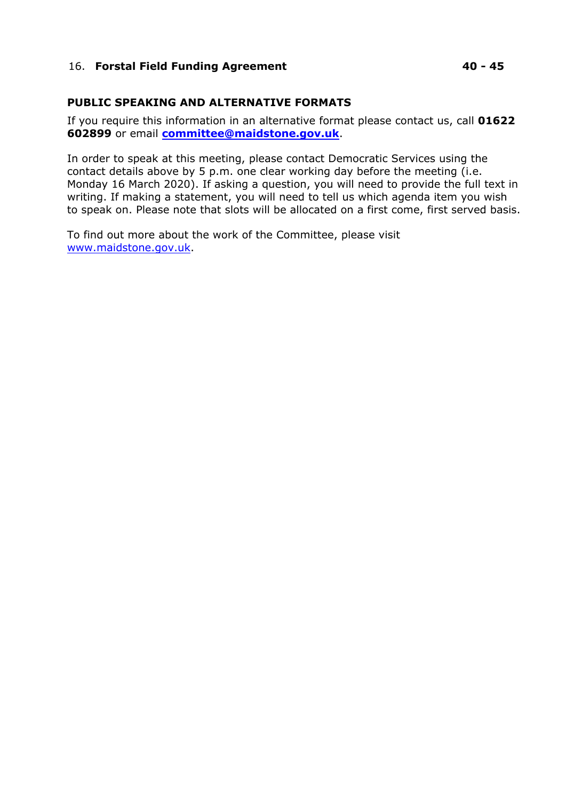#### 16. **Forstal Field Funding Agreement 40 - 45**

#### **PUBLIC SPEAKING AND ALTERNATIVE FORMATS**

If you require this information in an alternative format please contact us, call **01622 602899** or email **[committee@maidstone.gov.uk](mailto:committeeservices@maidstone.gov.uk)**.

In order to speak at this meeting, please contact Democratic Services using the contact details above by 5 p.m. one clear working day before the meeting (i.e. Monday 16 March 2020). If asking a question, you will need to provide the full text in writing. If making a statement, you will need to tell us which agenda item you wish to speak on. Please note that slots will be allocated on a first come, first served basis.

To find out more about the work of the Committee, please visit [www.maidstone.gov.uk.](http://www.maidstone.gov.uk/)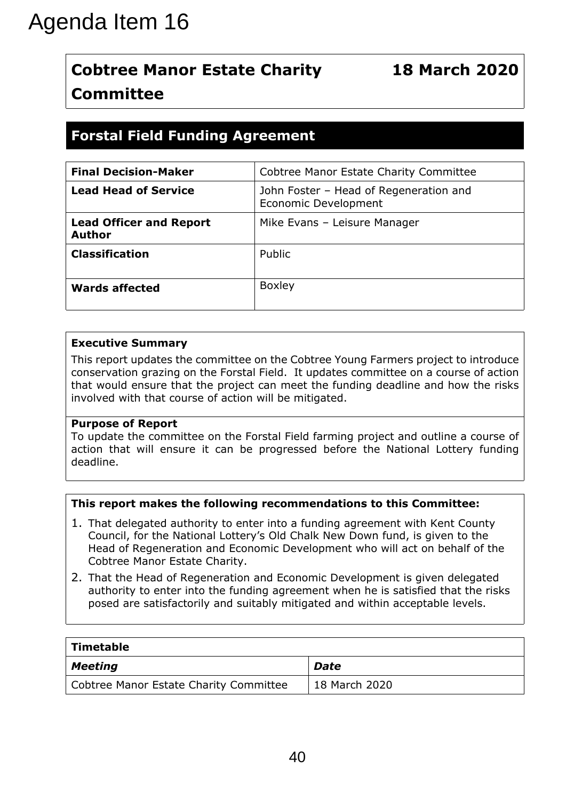# **Cobtree Manor Estate Charity Committee**

# **Forstal Field Funding Agreement**

| <b>Cobtree Manor Estate Charity</b><br><b>Committee</b>                                                        | <b>18 March 2020</b>                                                                                                                                                                                                                                                                                                                                                                                                                                                                                                                                                      |
|----------------------------------------------------------------------------------------------------------------|---------------------------------------------------------------------------------------------------------------------------------------------------------------------------------------------------------------------------------------------------------------------------------------------------------------------------------------------------------------------------------------------------------------------------------------------------------------------------------------------------------------------------------------------------------------------------|
| <b>Forstal Field Funding Agreement</b>                                                                         |                                                                                                                                                                                                                                                                                                                                                                                                                                                                                                                                                                           |
| <b>Final Decision-Maker</b>                                                                                    | Cobtree Manor Estate Charity Committee                                                                                                                                                                                                                                                                                                                                                                                                                                                                                                                                    |
| <b>Lead Head of Service</b>                                                                                    | John Foster - Head of Regeneration and<br>Economic Development                                                                                                                                                                                                                                                                                                                                                                                                                                                                                                            |
| <b>Lead Officer and Report</b><br><b>Author</b>                                                                | Mike Evans - Leisure Manager                                                                                                                                                                                                                                                                                                                                                                                                                                                                                                                                              |
| <b>Classification</b>                                                                                          | Public                                                                                                                                                                                                                                                                                                                                                                                                                                                                                                                                                                    |
| <b>Wards affected</b>                                                                                          | <b>Boxley</b>                                                                                                                                                                                                                                                                                                                                                                                                                                                                                                                                                             |
| <b>Executive Summary</b><br>involved with that course of action will be mitigated.<br><b>Purpose of Report</b> | This report updates the committee on the Cobtree Young Farmers project to introduce<br>conservation grazing on the Forstal Field. It updates committee on a course of action<br>that would ensure that the project can meet the funding deadline and how the risks                                                                                                                                                                                                                                                                                                        |
| deadline.                                                                                                      | To update the committee on the Forstal Field farming project and outline a course of<br>action that will ensure it can be progressed before the National Lottery funding                                                                                                                                                                                                                                                                                                                                                                                                  |
| Cobtree Manor Estate Charity.                                                                                  | This report makes the following recommendations to this Committee:<br>1. That delegated authority to enter into a funding agreement with Kent County<br>Council, for the National Lottery's Old Chalk New Down fund, is given to the<br>Head of Regeneration and Economic Development who will act on behalf of the<br>2. That the Head of Regeneration and Economic Development is given delegated<br>authority to enter into the funding agreement when he is satisfied that the risks<br>posed are satisfactorily and suitably mitigated and within acceptable levels. |
|                                                                                                                |                                                                                                                                                                                                                                                                                                                                                                                                                                                                                                                                                                           |
| <b>Timetable</b><br><b>Meeting</b>                                                                             | <b>Date</b>                                                                                                                                                                                                                                                                                                                                                                                                                                                                                                                                                               |

#### **Executive Summary**

#### **Purpose of Report**

#### **This report makes the following recommendations to this Committee:**

- 1. That delegated authority to enter into a funding agreement with Kent County Council, for the National Lottery's Old Chalk New Down fund, is given to the Head of Regeneration and Economic Development who will act on behalf of the Cobtree Manor Estate Charity.
- 2. That the Head of Regeneration and Economic Development is given delegated authority to enter into the funding agreement when he is satisfied that the risks posed are satisfactorily and suitably mitigated and within acceptable levels.

| $\mid$ Timetable                       |               |
|----------------------------------------|---------------|
| $\vert$ Meeting                        | <b>Date</b>   |
| Cobtree Manor Estate Charity Committee | 18 March 2020 |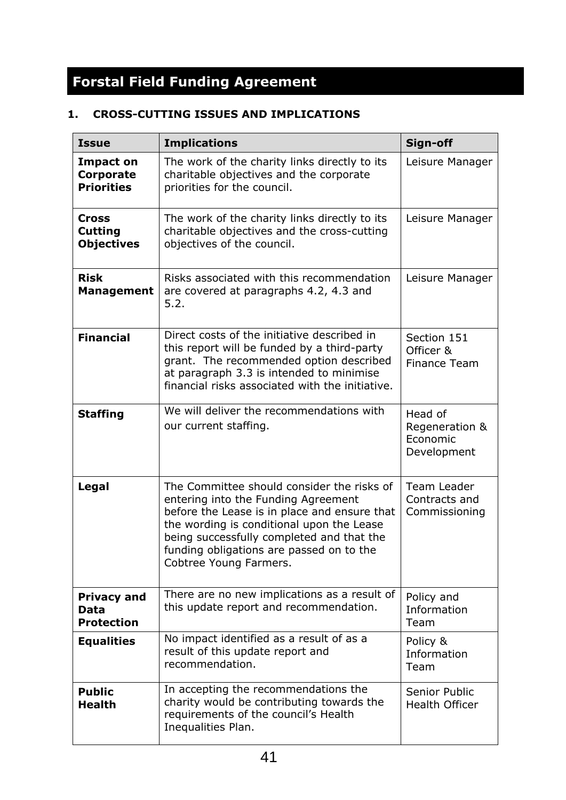# **Forstal Field Funding Agreement**

## **1. CROSS-CUTTING ISSUES AND IMPLICATIONS**

| <b>Issue</b>                                        | <b>Implications</b>                                                                                                                                                                                                                                                                               | Sign-off                                             |
|-----------------------------------------------------|---------------------------------------------------------------------------------------------------------------------------------------------------------------------------------------------------------------------------------------------------------------------------------------------------|------------------------------------------------------|
| <b>Impact on</b><br>Corporate<br><b>Priorities</b>  | The work of the charity links directly to its<br>charitable objectives and the corporate<br>priorities for the council.                                                                                                                                                                           | Leisure Manager                                      |
| <b>Cross</b><br><b>Cutting</b><br><b>Objectives</b> | The work of the charity links directly to its<br>charitable objectives and the cross-cutting<br>objectives of the council.                                                                                                                                                                        | Leisure Manager                                      |
| <b>Risk</b><br><b>Management</b>                    | Risks associated with this recommendation<br>are covered at paragraphs 4.2, 4.3 and<br>5.2.                                                                                                                                                                                                       | Leisure Manager                                      |
| <b>Financial</b>                                    | Direct costs of the initiative described in<br>this report will be funded by a third-party<br>grant. The recommended option described<br>at paragraph 3.3 is intended to minimise<br>financial risks associated with the initiative.                                                              | Section 151<br>Officer &<br><b>Finance Team</b>      |
| <b>Staffing</b>                                     | We will deliver the recommendations with<br>our current staffing.                                                                                                                                                                                                                                 | Head of<br>Regeneration &<br>Economic<br>Development |
| Legal                                               | The Committee should consider the risks of<br>entering into the Funding Agreement<br>before the Lease is in place and ensure that<br>the wording is conditional upon the Lease<br>being successfully completed and that the<br>funding obligations are passed on to the<br>Cobtree Young Farmers. | Team Leader<br>Contracts and<br>Commissioning        |
| <b>Privacy and</b><br>Data<br><b>Protection</b>     | There are no new implications as a result of<br>this update report and recommendation.                                                                                                                                                                                                            | Policy and<br>Information<br>Team                    |
| <b>Equalities</b>                                   | No impact identified as a result of as a<br>result of this update report and<br>recommendation.                                                                                                                                                                                                   | Policy &<br>Information<br>Team                      |
| <b>Public</b><br><b>Health</b>                      | In accepting the recommendations the<br>charity would be contributing towards the<br>requirements of the council's Health<br>Inequalities Plan.                                                                                                                                                   | Senior Public<br>Health Officer                      |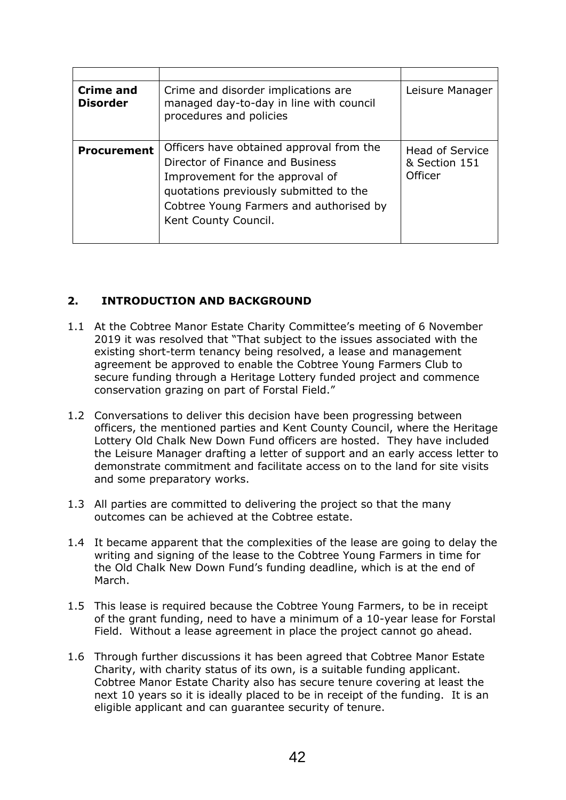| Crime and<br><b>Disorder</b> | Crime and disorder implications are<br>managed day-to-day in line with council<br>procedures and policies                                                                                                                    | Leisure Manager                                    |
|------------------------------|------------------------------------------------------------------------------------------------------------------------------------------------------------------------------------------------------------------------------|----------------------------------------------------|
| <b>Procurement</b>           | Officers have obtained approval from the<br>Director of Finance and Business<br>Improvement for the approval of<br>quotations previously submitted to the<br>Cobtree Young Farmers and authorised by<br>Kent County Council. | <b>Head of Service</b><br>& Section 151<br>Officer |

#### **2. INTRODUCTION AND BACKGROUND**

- 1.1 At the Cobtree Manor Estate Charity Committee's meeting of 6 November 2019 it was resolved that "That subject to the issues associated with the existing short-term tenancy being resolved, a lease and management agreement be approved to enable the Cobtree Young Farmers Club to secure funding through a Heritage Lottery funded project and commence conservation grazing on part of Forstal Field."
- 1.2 Conversations to deliver this decision have been progressing between officers, the mentioned parties and Kent County Council, where the Heritage Lottery Old Chalk New Down Fund officers are hosted. They have included the Leisure Manager drafting a letter of support and an early access letter to demonstrate commitment and facilitate access on to the land for site visits and some preparatory works.
- 1.3 All parties are committed to delivering the project so that the many outcomes can be achieved at the Cobtree estate.
- 1.4 It became apparent that the complexities of the lease are going to delay the writing and signing of the lease to the Cobtree Young Farmers in time for the Old Chalk New Down Fund's funding deadline, which is at the end of March.
- 1.5 This lease is required because the Cobtree Young Farmers, to be in receipt of the grant funding, need to have a minimum of a 10-year lease for Forstal Field. Without a lease agreement in place the project cannot go ahead.
- 1.6 Through further discussions it has been agreed that Cobtree Manor Estate Charity, with charity status of its own, is a suitable funding applicant. Cobtree Manor Estate Charity also has secure tenure covering at least the next 10 years so it is ideally placed to be in receipt of the funding. It is an eligible applicant and can guarantee security of tenure.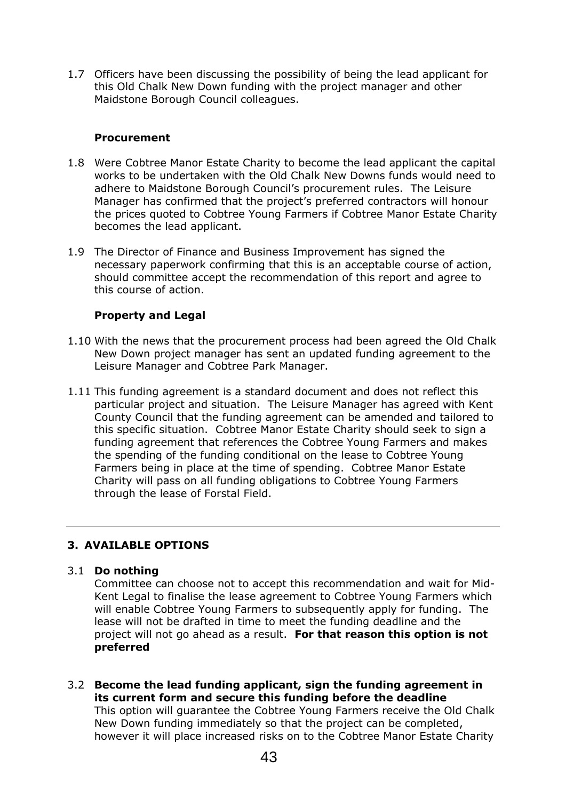1.7 Officers have been discussing the possibility of being the lead applicant for this Old Chalk New Down funding with the project manager and other Maidstone Borough Council colleagues.

#### **Procurement**

- 1.8 Were Cobtree Manor Estate Charity to become the lead applicant the capital works to be undertaken with the Old Chalk New Downs funds would need to adhere to Maidstone Borough Council's procurement rules. The Leisure Manager has confirmed that the project's preferred contractors will honour the prices quoted to Cobtree Young Farmers if Cobtree Manor Estate Charity becomes the lead applicant.
- 1.9 The Director of Finance and Business Improvement has signed the necessary paperwork confirming that this is an acceptable course of action, should committee accept the recommendation of this report and agree to this course of action.

#### **Property and Legal**

- 1.10 With the news that the procurement process had been agreed the Old Chalk New Down project manager has sent an updated funding agreement to the Leisure Manager and Cobtree Park Manager.
- 1.11 This funding agreement is a standard document and does not reflect this particular project and situation. The Leisure Manager has agreed with Kent County Council that the funding agreement can be amended and tailored to this specific situation. Cobtree Manor Estate Charity should seek to sign a funding agreement that references the Cobtree Young Farmers and makes the spending of the funding conditional on the lease to Cobtree Young Farmers being in place at the time of spending. Cobtree Manor Estate Charity will pass on all funding obligations to Cobtree Young Farmers through the lease of Forstal Field.

#### **3. AVAILABLE OPTIONS**

#### 3.1 **Do nothing**

Committee can choose not to accept this recommendation and wait for Mid-Kent Legal to finalise the lease agreement to Cobtree Young Farmers which will enable Cobtree Young Farmers to subsequently apply for funding. The lease will not be drafted in time to meet the funding deadline and the project will not go ahead as a result. **For that reason this option is not preferred**

3.2 **Become the lead funding applicant, sign the funding agreement in its current form and secure this funding before the deadline** This option will guarantee the Cobtree Young Farmers receive the Old Chalk New Down funding immediately so that the project can be completed, however it will place increased risks on to the Cobtree Manor Estate Charity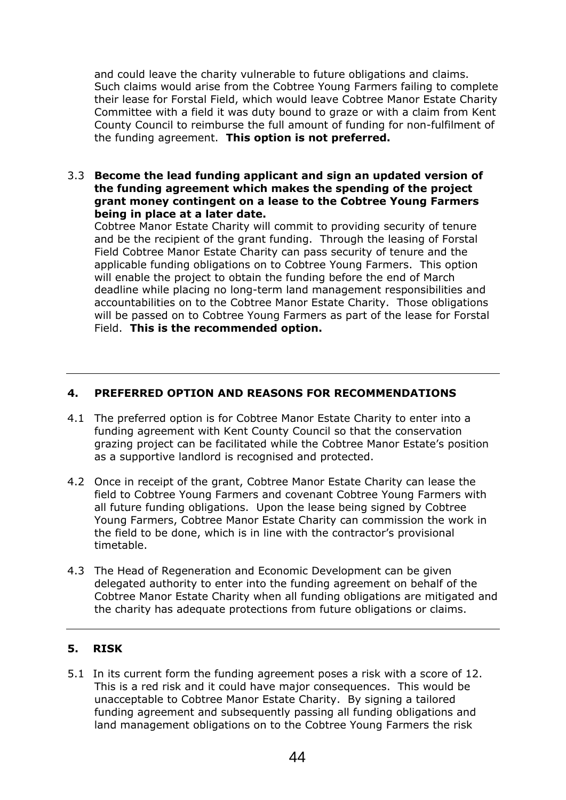and could leave the charity vulnerable to future obligations and claims. Such claims would arise from the Cobtree Young Farmers failing to complete their lease for Forstal Field, which would leave Cobtree Manor Estate Charity Committee with a field it was duty bound to graze or with a claim from Kent County Council to reimburse the full amount of funding for non-fulfilment of the funding agreement. **This option is not preferred.**

#### 3.3 **Become the lead funding applicant and sign an updated version of the funding agreement which makes the spending of the project grant money contingent on a lease to the Cobtree Young Farmers being in place at a later date.**

Cobtree Manor Estate Charity will commit to providing security of tenure and be the recipient of the grant funding. Through the leasing of Forstal Field Cobtree Manor Estate Charity can pass security of tenure and the applicable funding obligations on to Cobtree Young Farmers. This option will enable the project to obtain the funding before the end of March deadline while placing no long-term land management responsibilities and accountabilities on to the Cobtree Manor Estate Charity. Those obligations will be passed on to Cobtree Young Farmers as part of the lease for Forstal Field. **This is the recommended option.**

#### **4. PREFERRED OPTION AND REASONS FOR RECOMMENDATIONS**

- 4.1 The preferred option is for Cobtree Manor Estate Charity to enter into a funding agreement with Kent County Council so that the conservation grazing project can be facilitated while the Cobtree Manor Estate's position as a supportive landlord is recognised and protected.
- 4.2 Once in receipt of the grant, Cobtree Manor Estate Charity can lease the field to Cobtree Young Farmers and covenant Cobtree Young Farmers with all future funding obligations. Upon the lease being signed by Cobtree Young Farmers, Cobtree Manor Estate Charity can commission the work in the field to be done, which is in line with the contractor's provisional timetable.
- 4.3 The Head of Regeneration and Economic Development can be given delegated authority to enter into the funding agreement on behalf of the Cobtree Manor Estate Charity when all funding obligations are mitigated and the charity has adequate protections from future obligations or claims.

#### **5. RISK**

5.1 In its current form the funding agreement poses a risk with a score of 12. This is a red risk and it could have major consequences. This would be unacceptable to Cobtree Manor Estate Charity. By signing a tailored funding agreement and subsequently passing all funding obligations and land management obligations on to the Cobtree Young Farmers the risk